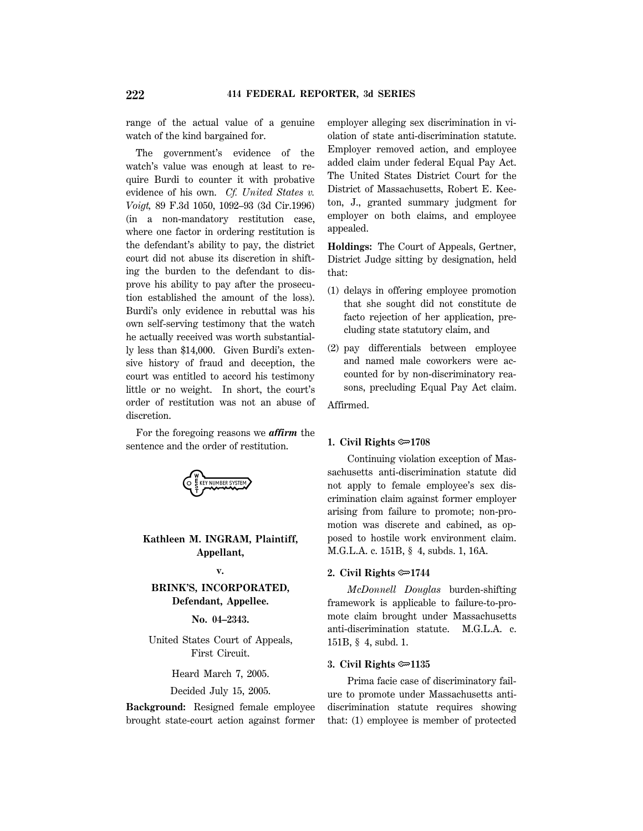range of the actual value of a genuine watch of the kind bargained for.

The government's evidence of the watch's value was enough at least to require Burdi to counter it with probative evidence of his own. *Cf. United States v. Voigt,* 89 F.3d 1050, 1092–93 (3d Cir.1996) (in a non-mandatory restitution case, where one factor in ordering restitution is the defendant's ability to pay, the district court did not abuse its discretion in shifting the burden to the defendant to disprove his ability to pay after the prosecution established the amount of the loss). Burdi's only evidence in rebuttal was his own self-serving testimony that the watch he actually received was worth substantially less than \$14,000. Given Burdi's extensive history of fraud and deception, the court was entitled to accord his testimony little or no weight. In short, the court's order of restitution was not an abuse of discretion.

For the foregoing reasons we *affirm* the sentence and the order of restitution.



# **Kathleen M. INGRAM, Plaintiff, Appellant,**

## **v.**

# **BRINK'S, INCORPORATED, Defendant, Appellee.**

**No. 04–2343.**

United States Court of Appeals, First Circuit.

Heard March 7, 2005.

Decided July 15, 2005.

**Background:** Resigned female employee brought state-court action against former employer alleging sex discrimination in violation of state anti-discrimination statute. Employer removed action, and employee added claim under federal Equal Pay Act. The United States District Court for the District of Massachusetts, Robert E. Keeton, J., granted summary judgment for employer on both claims, and employee appealed.

**Holdings:** The Court of Appeals, Gertner, District Judge sitting by designation, held that:

- (1) delays in offering employee promotion that she sought did not constitute de facto rejection of her application, precluding state statutory claim, and
- (2) pay differentials between employee and named male coworkers were accounted for by non-discriminatory reasons, precluding Equal Pay Act claim.

Affirmed.

## **1. Civil Rights**  $\approx 1708$

Continuing violation exception of Massachusetts anti-discrimination statute did not apply to female employee's sex discrimination claim against former employer arising from failure to promote; non-promotion was discrete and cabined, as opposed to hostile work environment claim. M.G.L.A. c. 151B, § 4, subds. 1, 16A.

## **2. Civil Rights** O**1744**

*McDonnell Douglas* burden-shifting framework is applicable to failure-to-promote claim brought under Massachusetts anti-discrimination statute. M.G.L.A. c. 151B, § 4, subd. 1.

## **3. Civil Rights** O**1135**

Prima facie case of discriminatory failure to promote under Massachusetts antidiscrimination statute requires showing that: (1) employee is member of protected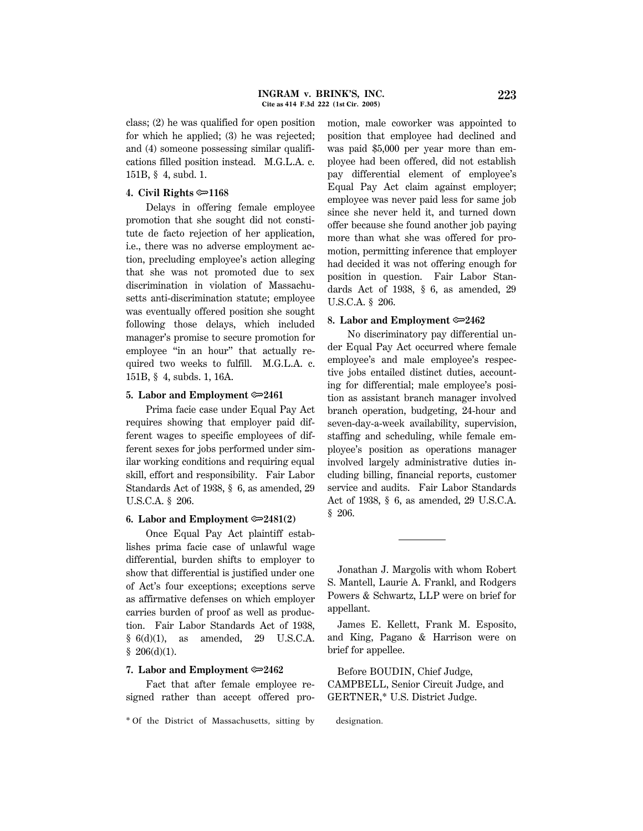class; (2) he was qualified for open position for which he applied; (3) he was rejected; and (4) someone possessing similar qualifications filled position instead. M.G.L.A. c. 151B, § 4, subd. 1.

#### **4. Civil Rights <del>©</del>1168**

Delays in offering female employee promotion that she sought did not constitute de facto rejection of her application, i.e., there was no adverse employment action, precluding employee's action alleging that she was not promoted due to sex discrimination in violation of Massachusetts anti-discrimination statute; employee was eventually offered position she sought following those delays, which included manager's promise to secure promotion for employee "in an hour" that actually required two weeks to fulfill. M.G.L.A. c. 151B, § 4, subds. 1, 16A.

#### **5. Labor and Employment** O**2461**

Prima facie case under Equal Pay Act requires showing that employer paid different wages to specific employees of different sexes for jobs performed under similar working conditions and requiring equal skill, effort and responsibility. Fair Labor Standards Act of 1938, § 6, as amended, 29 U.S.C.A. § 206.

## **6.** Labor and Employment  $\infty$  2481(2)

Once Equal Pay Act plaintiff establishes prima facie case of unlawful wage differential, burden shifts to employer to show that differential is justified under one of Act's four exceptions; exceptions serve as affirmative defenses on which employer carries burden of proof as well as production. Fair Labor Standards Act of 1938, § 6(d)(1), as amended, 29 U.S.C.A.  $$206(d)(1).$ 

#### **7.** Labor and Employment  $\infty$  2462

Fact that after female employee resigned rather than accept offered promotion, male coworker was appointed to position that employee had declined and was paid \$5,000 per year more than employee had been offered, did not establish pay differential element of employee's Equal Pay Act claim against employer; employee was never paid less for same job since she never held it, and turned down offer because she found another job paying more than what she was offered for promotion, permitting inference that employer had decided it was not offering enough for position in question. Fair Labor Standards Act of 1938, § 6, as amended, 29 U.S.C.A. § 206.

#### **8. Labor and Employment**  $\approx 2462$

No discriminatory pay differential under Equal Pay Act occurred where female employee's and male employee's respective jobs entailed distinct duties, accounting for differential; male employee's position as assistant branch manager involved branch operation, budgeting, 24-hour and seven-day-a-week availability, supervision, staffing and scheduling, while female employee's position as operations manager involved largely administrative duties including billing, financial reports, customer service and audits. Fair Labor Standards Act of 1938, § 6, as amended, 29 U.S.C.A. § 206.

Jonathan J. Margolis with whom Robert S. Mantell, Laurie A. Frankl, and Rodgers Powers & Schwartz, LLP were on brief for appellant.

James E. Kellett, Frank M. Esposito, and King, Pagano & Harrison were on brief for appellee.

Before BOUDIN, Chief Judge, CAMPBELL, Senior Circuit Judge, and GERTNER,\* U.S. District Judge.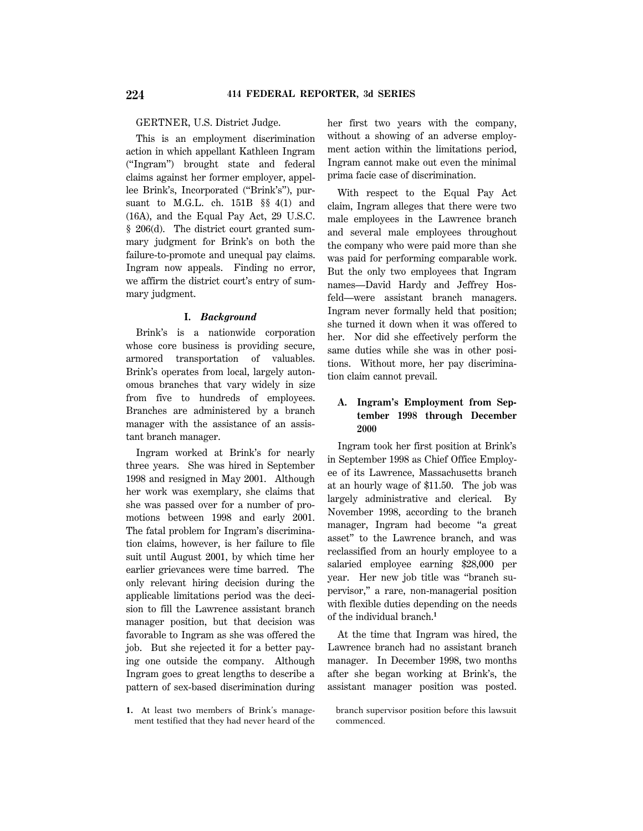GERTNER, U.S. District Judge.

This is an employment discrimination action in which appellant Kathleen Ingram (''Ingram'') brought state and federal claims against her former employer, appellee Brink's, Incorporated (''Brink's''), pursuant to M.G.L. ch. 151B §§ 4(1) and (16A), and the Equal Pay Act, 29 U.S.C. § 206(d). The district court granted summary judgment for Brink's on both the failure-to-promote and unequal pay claims. Ingram now appeals. Finding no error, we affirm the district court's entry of summary judgment.

## **I.** *Background*

Brink's is a nationwide corporation whose core business is providing secure, armored transportation of valuables. Brink's operates from local, largely autonomous branches that vary widely in size from five to hundreds of employees. Branches are administered by a branch manager with the assistance of an assistant branch manager.

Ingram worked at Brink's for nearly three years. She was hired in September 1998 and resigned in May 2001. Although her work was exemplary, she claims that she was passed over for a number of promotions between 1998 and early 2001. The fatal problem for Ingram's discrimination claims, however, is her failure to file suit until August 2001, by which time her earlier grievances were time barred. The only relevant hiring decision during the applicable limitations period was the decision to fill the Lawrence assistant branch manager position, but that decision was favorable to Ingram as she was offered the job. But she rejected it for a better paying one outside the company. Although Ingram goes to great lengths to describe a pattern of sex-based discrimination during her first two years with the company, without a showing of an adverse employment action within the limitations period, Ingram cannot make out even the minimal prima facie case of discrimination.

With respect to the Equal Pay Act claim, Ingram alleges that there were two male employees in the Lawrence branch and several male employees throughout the company who were paid more than she was paid for performing comparable work. But the only two employees that Ingram names—David Hardy and Jeffrey Hosfeld—were assistant branch managers. Ingram never formally held that position; she turned it down when it was offered to her. Nor did she effectively perform the same duties while she was in other positions. Without more, her pay discrimination claim cannot prevail.

# **A. Ingram's Employment from September 1998 through December 2000**

Ingram took her first position at Brink's in September 1998 as Chief Office Employee of its Lawrence, Massachusetts branch at an hourly wage of \$11.50. The job was largely administrative and clerical. By November 1998, according to the branch manager, Ingram had become ''a great asset'' to the Lawrence branch, and was reclassified from an hourly employee to a salaried employee earning \$28,000 per year. Her new job title was ''branch supervisor,'' a rare, non-managerial position with flexible duties depending on the needs of the individual branch.**<sup>1</sup>**

At the time that Ingram was hired, the Lawrence branch had no assistant branch manager. In December 1998, two months after she began working at Brink's, the assistant manager position was posted.

**<sup>1.</sup>** At least two members of Brink's management testified that they had never heard of the

branch supervisor position before this lawsuit commenced.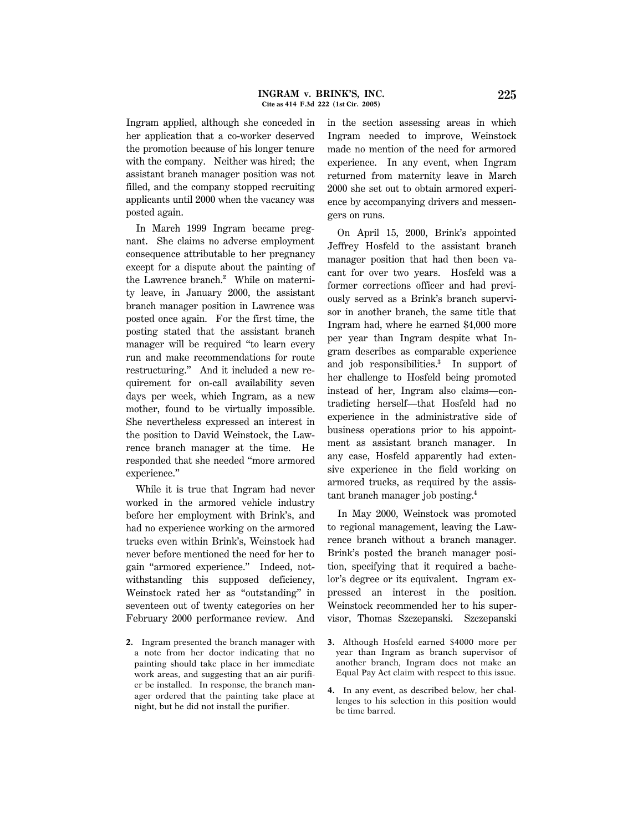Ingram applied, although she conceded in her application that a co-worker deserved the promotion because of his longer tenure with the company. Neither was hired; the assistant branch manager position was not filled, and the company stopped recruiting applicants until 2000 when the vacancy was posted again.

In March 1999 Ingram became pregnant. She claims no adverse employment consequence attributable to her pregnancy except for a dispute about the painting of the Lawrence branch.**<sup>2</sup>** While on maternity leave, in January 2000, the assistant branch manager position in Lawrence was posted once again. For the first time, the posting stated that the assistant branch manager will be required ''to learn every run and make recommendations for route restructuring.'' And it included a new requirement for on-call availability seven days per week, which Ingram, as a new mother, found to be virtually impossible. She nevertheless expressed an interest in the position to David Weinstock, the Lawrence branch manager at the time. He responded that she needed ''more armored experience.''

While it is true that Ingram had never worked in the armored vehicle industry before her employment with Brink's, and had no experience working on the armored trucks even within Brink's, Weinstock had never before mentioned the need for her to gain ''armored experience.'' Indeed, notwithstanding this supposed deficiency, Weinstock rated her as ''outstanding'' in seventeen out of twenty categories on her February 2000 performance review. And

**2.** Ingram presented the branch manager with a note from her doctor indicating that no painting should take place in her immediate work areas, and suggesting that an air purifier be installed. In response, the branch manager ordered that the painting take place at night, but he did not install the purifier.

in the section assessing areas in which Ingram needed to improve, Weinstock made no mention of the need for armored experience. In any event, when Ingram returned from maternity leave in March 2000 she set out to obtain armored experience by accompanying drivers and messengers on runs.

On April 15, 2000, Brink's appointed Jeffrey Hosfeld to the assistant branch manager position that had then been vacant for over two years. Hosfeld was a former corrections officer and had previously served as a Brink's branch supervisor in another branch, the same title that Ingram had, where he earned \$4,000 more per year than Ingram despite what Ingram describes as comparable experience and job responsibilities.**<sup>3</sup>** In support of her challenge to Hosfeld being promoted instead of her, Ingram also claims—contradicting herself—that Hosfeld had no experience in the administrative side of business operations prior to his appointment as assistant branch manager. In any case, Hosfeld apparently had extensive experience in the field working on armored trucks, as required by the assistant branch manager job posting.**<sup>4</sup>**

In May 2000, Weinstock was promoted to regional management, leaving the Lawrence branch without a branch manager. Brink's posted the branch manager position, specifying that it required a bachelor's degree or its equivalent. Ingram expressed an interest in the position. Weinstock recommended her to his supervisor, Thomas Szczepanski. Szczepanski

- **3.** Although Hosfeld earned \$4000 more per year than Ingram as branch supervisor of another branch, Ingram does not make an Equal Pay Act claim with respect to this issue.
- **4.** In any event, as described below, her challenges to his selection in this position would be time barred.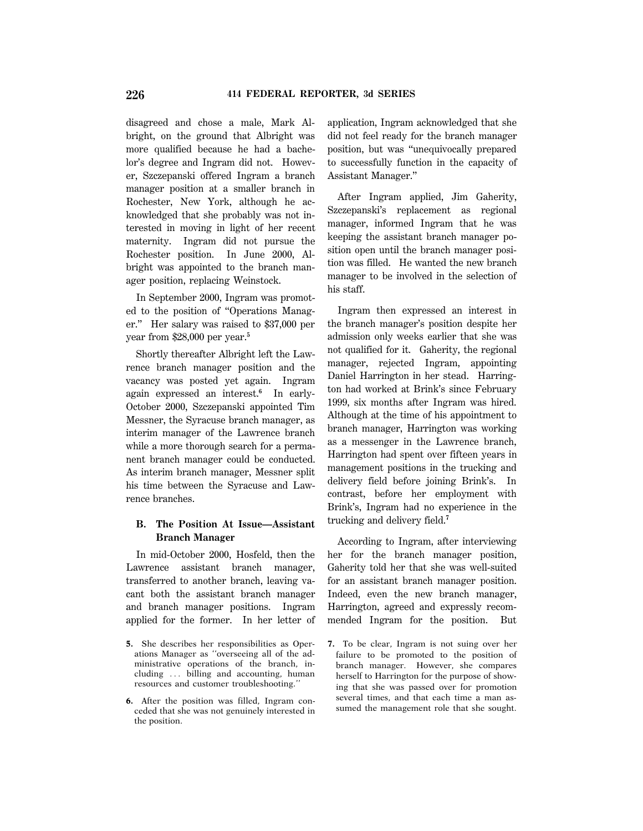disagreed and chose a male, Mark Albright, on the ground that Albright was more qualified because he had a bachelor's degree and Ingram did not. However, Szczepanski offered Ingram a branch manager position at a smaller branch in Rochester, New York, although he acknowledged that she probably was not interested in moving in light of her recent maternity. Ingram did not pursue the Rochester position. In June 2000, Albright was appointed to the branch manager position, replacing Weinstock.

In September 2000, Ingram was promoted to the position of ''Operations Manager.'' Her salary was raised to \$37,000 per year from \$28,000 per year.**<sup>5</sup>**

Shortly thereafter Albright left the Lawrence branch manager position and the vacancy was posted yet again. Ingram again expressed an interest.**<sup>6</sup>** In early-October 2000, Szczepanski appointed Tim Messner, the Syracuse branch manager, as interim manager of the Lawrence branch while a more thorough search for a permanent branch manager could be conducted. As interim branch manager, Messner split his time between the Syracuse and Lawrence branches.

# **B. The Position At Issue—Assistant Branch Manager**

In mid-October 2000, Hosfeld, then the Lawrence assistant branch manager, transferred to another branch, leaving vacant both the assistant branch manager and branch manager positions. Ingram applied for the former. In her letter of application, Ingram acknowledged that she did not feel ready for the branch manager position, but was ''unequivocally prepared to successfully function in the capacity of Assistant Manager.''

After Ingram applied, Jim Gaherity, Szczepanski's replacement as regional manager, informed Ingram that he was keeping the assistant branch manager position open until the branch manager position was filled. He wanted the new branch manager to be involved in the selection of his staff.

Ingram then expressed an interest in the branch manager's position despite her admission only weeks earlier that she was not qualified for it. Gaherity, the regional manager, rejected Ingram, appointing Daniel Harrington in her stead. Harrington had worked at Brink's since February 1999, six months after Ingram was hired. Although at the time of his appointment to branch manager, Harrington was working as a messenger in the Lawrence branch, Harrington had spent over fifteen years in management positions in the trucking and delivery field before joining Brink's. In contrast, before her employment with Brink's, Ingram had no experience in the trucking and delivery field.**<sup>7</sup>**

According to Ingram, after interviewing her for the branch manager position, Gaherity told her that she was well-suited for an assistant branch manager position. Indeed, even the new branch manager, Harrington, agreed and expressly recommended Ingram for the position. But

**<sup>5.</sup>** She describes her responsibilities as Operations Manager as ''overseeing all of the administrative operations of the branch, including ... billing and accounting, human resources and customer troubleshooting.''

**<sup>6.</sup>** After the position was filled, Ingram conceded that she was not genuinely interested in the position.

**<sup>7.</sup>** To be clear, Ingram is not suing over her failure to be promoted to the position of branch manager. However, she compares herself to Harrington for the purpose of showing that she was passed over for promotion several times, and that each time a man assumed the management role that she sought.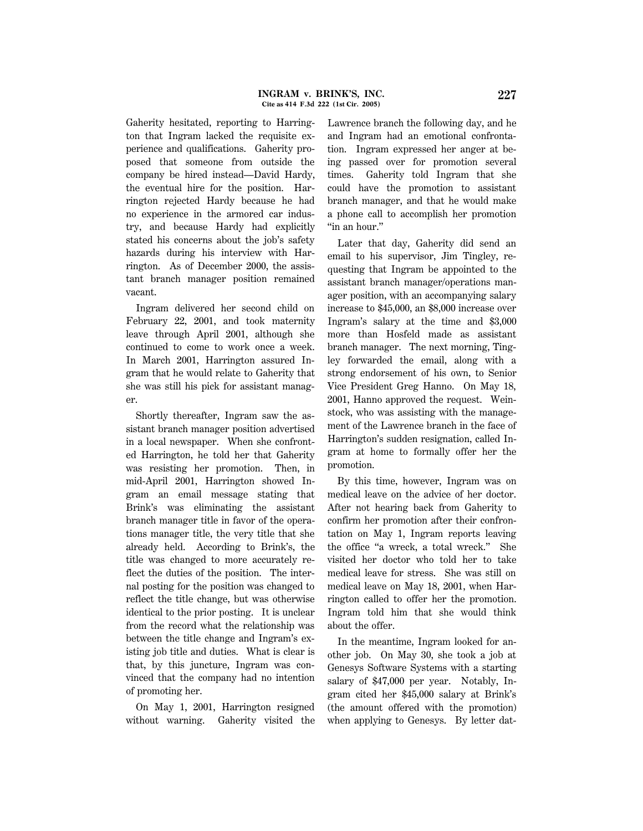Gaherity hesitated, reporting to Harrington that Ingram lacked the requisite experience and qualifications. Gaherity proposed that someone from outside the company be hired instead—David Hardy, the eventual hire for the position. Harrington rejected Hardy because he had no experience in the armored car industry, and because Hardy had explicitly stated his concerns about the job's safety hazards during his interview with Harrington. As of December 2000, the assistant branch manager position remained vacant.

Ingram delivered her second child on February 22, 2001, and took maternity leave through April 2001, although she continued to come to work once a week. In March 2001, Harrington assured Ingram that he would relate to Gaherity that she was still his pick for assistant manager.

Shortly thereafter, Ingram saw the assistant branch manager position advertised in a local newspaper. When she confronted Harrington, he told her that Gaherity was resisting her promotion. Then, in mid-April 2001, Harrington showed Ingram an email message stating that Brink's was eliminating the assistant branch manager title in favor of the operations manager title, the very title that she already held. According to Brink's, the title was changed to more accurately reflect the duties of the position. The internal posting for the position was changed to reflect the title change, but was otherwise identical to the prior posting. It is unclear from the record what the relationship was between the title change and Ingram's existing job title and duties. What is clear is that, by this juncture, Ingram was convinced that the company had no intention of promoting her.

On May 1, 2001, Harrington resigned without warning. Gaherity visited the Lawrence branch the following day, and he and Ingram had an emotional confrontation. Ingram expressed her anger at being passed over for promotion several times. Gaherity told Ingram that she could have the promotion to assistant branch manager, and that he would make a phone call to accomplish her promotion "in an hour."

Later that day, Gaherity did send an email to his supervisor, Jim Tingley, requesting that Ingram be appointed to the assistant branch manager/operations manager position, with an accompanying salary increase to \$45,000, an \$8,000 increase over Ingram's salary at the time and \$3,000 more than Hosfeld made as assistant branch manager. The next morning, Tingley forwarded the email, along with a strong endorsement of his own, to Senior Vice President Greg Hanno. On May 18, 2001, Hanno approved the request. Weinstock, who was assisting with the management of the Lawrence branch in the face of Harrington's sudden resignation, called Ingram at home to formally offer her the promotion.

By this time, however, Ingram was on medical leave on the advice of her doctor. After not hearing back from Gaherity to confirm her promotion after their confrontation on May 1, Ingram reports leaving the office ''a wreck, a total wreck.'' She visited her doctor who told her to take medical leave for stress. She was still on medical leave on May 18, 2001, when Harrington called to offer her the promotion. Ingram told him that she would think about the offer.

In the meantime, Ingram looked for another job. On May 30, she took a job at Genesys Software Systems with a starting salary of \$47,000 per year. Notably, Ingram cited her \$45,000 salary at Brink's (the amount offered with the promotion) when applying to Genesys. By letter dat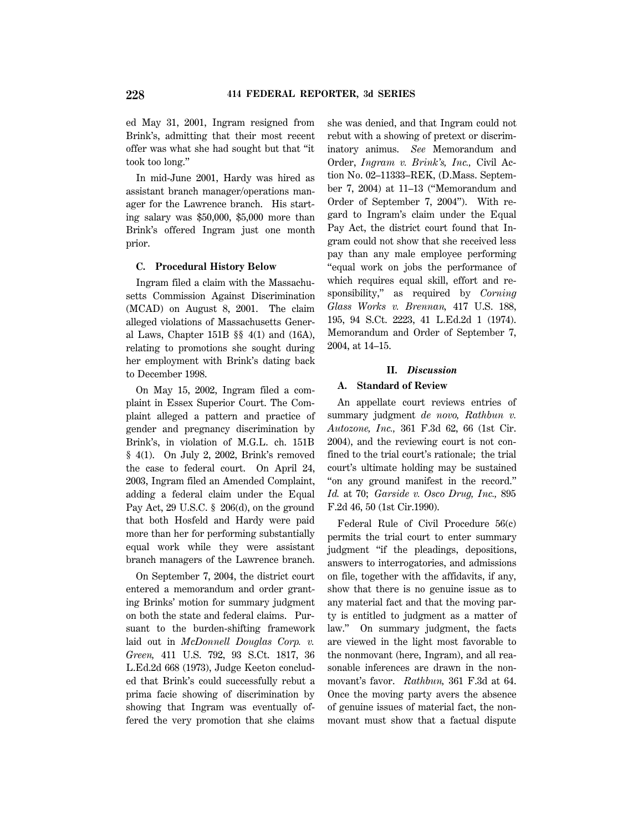ed May 31, 2001, Ingram resigned from Brink's, admitting that their most recent offer was what she had sought but that ''it took too long.''

In mid-June 2001, Hardy was hired as assistant branch manager/operations manager for the Lawrence branch. His starting salary was \$50,000, \$5,000 more than Brink's offered Ingram just one month prior.

## **C. Procedural History Below**

Ingram filed a claim with the Massachusetts Commission Against Discrimination (MCAD) on August 8, 2001. The claim alleged violations of Massachusetts General Laws, Chapter 151B §§ 4(1) and (16A), relating to promotions she sought during her employment with Brink's dating back to December 1998.

On May 15, 2002, Ingram filed a complaint in Essex Superior Court. The Complaint alleged a pattern and practice of gender and pregnancy discrimination by Brink's, in violation of M.G.L. ch. 151B § 4(1). On July 2, 2002, Brink's removed the case to federal court. On April 24, 2003, Ingram filed an Amended Complaint, adding a federal claim under the Equal Pay Act, 29 U.S.C. § 206(d), on the ground that both Hosfeld and Hardy were paid more than her for performing substantially equal work while they were assistant branch managers of the Lawrence branch.

On September 7, 2004, the district court entered a memorandum and order granting Brinks' motion for summary judgment on both the state and federal claims. Pursuant to the burden-shifting framework laid out in *McDonnell Douglas Corp. v. Green,* 411 U.S. 792, 93 S.Ct. 1817, 36 L.Ed.2d 668 (1973), Judge Keeton concluded that Brink's could successfully rebut a prima facie showing of discrimination by showing that Ingram was eventually offered the very promotion that she claims she was denied, and that Ingram could not rebut with a showing of pretext or discriminatory animus. *See* Memorandum and Order, *Ingram v. Brink's, Inc.,* Civil Action No. 02–11333–REK, (D.Mass. September 7, 2004) at 11–13 (''Memorandum and Order of September 7, 2004''). With regard to Ingram's claim under the Equal Pay Act, the district court found that Ingram could not show that she received less pay than any male employee performing ''equal work on jobs the performance of which requires equal skill, effort and responsibility,'' as required by *Corning Glass Works v. Brennan,* 417 U.S. 188, 195, 94 S.Ct. 2223, 41 L.Ed.2d 1 (1974). Memorandum and Order of September 7, 2004, at 14–15.

#### **II.** *Discussion*

#### **A. Standard of Review**

An appellate court reviews entries of summary judgment *de novo, Rathbun v. Autozone, Inc.,* 361 F.3d 62, 66 (1st Cir. 2004), and the reviewing court is not confined to the trial court's rationale; the trial court's ultimate holding may be sustained ''on any ground manifest in the record.'' *Id.* at 70; *Garside v. Osco Drug, Inc.,* 895 F.2d 46, 50 (1st Cir.1990).

Federal Rule of Civil Procedure 56(c) permits the trial court to enter summary judgment ''if the pleadings, depositions, answers to interrogatories, and admissions on file, together with the affidavits, if any, show that there is no genuine issue as to any material fact and that the moving party is entitled to judgment as a matter of law.'' On summary judgment, the facts are viewed in the light most favorable to the nonmovant (here, Ingram), and all reasonable inferences are drawn in the nonmovant's favor. *Rathbun,* 361 F.3d at 64. Once the moving party avers the absence of genuine issues of material fact, the nonmovant must show that a factual dispute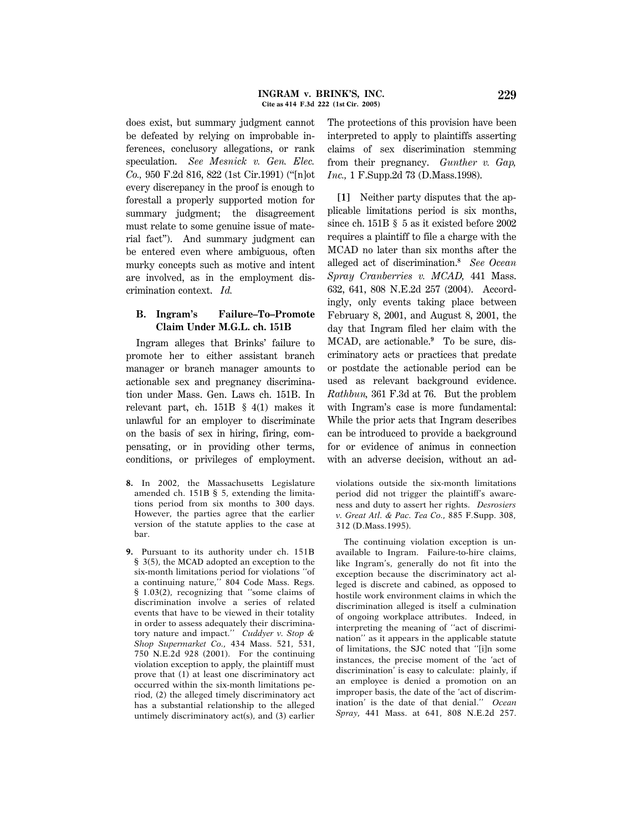does exist, but summary judgment cannot be defeated by relying on improbable inferences, conclusory allegations, or rank speculation. *See Mesnick v. Gen. Elec. Co.,* 950 F.2d 816, 822 (1st Cir.1991) (''[n]ot every discrepancy in the proof is enough to forestall a properly supported motion for summary judgment; the disagreement must relate to some genuine issue of material fact''). And summary judgment can be entered even where ambiguous, often murky concepts such as motive and intent are involved, as in the employment discrimination context. *Id.*

# **B. Ingram's Failure–To–Promote Claim Under M.G.L. ch. 151B**

Ingram alleges that Brinks' failure to promote her to either assistant branch manager or branch manager amounts to actionable sex and pregnancy discrimination under Mass. Gen. Laws ch. 151B. In relevant part, ch. 151B § 4(1) makes it unlawful for an employer to discriminate on the basis of sex in hiring, firing, compensating, or in providing other terms, conditions, or privileges of employment.

- **8.** In 2002, the Massachusetts Legislature amended ch. 151B § 5, extending the limitations period from six months to 300 days. However, the parties agree that the earlier version of the statute applies to the case at bar.
- **9.** Pursuant to its authority under ch. 151B § 3(5), the MCAD adopted an exception to the six-month limitations period for violations ''of a continuing nature,'' 804 Code Mass. Regs. § 1.03(2), recognizing that ''some claims of discrimination involve a series of related events that have to be viewed in their totality in order to assess adequately their discriminatory nature and impact.'' *Cuddyer v. Stop & Shop Supermarket Co.,* 434 Mass. 521, 531, 750 N.E.2d 928 (2001). For the continuing violation exception to apply, the plaintiff must prove that (1) at least one discriminatory act occurred within the six-month limitations period, (2) the alleged timely discriminatory act has a substantial relationship to the alleged untimely discriminatory act(s), and (3) earlier

The protections of this provision have been interpreted to apply to plaintiffs asserting claims of sex discrimination stemming from their pregnancy. *Gunther v. Gap, Inc.,* 1 F.Supp.2d 73 (D.Mass.1998).

**[1]** Neither party disputes that the applicable limitations period is six months, since ch. 151B § 5 as it existed before 2002 requires a plaintiff to file a charge with the MCAD no later than six months after the alleged act of discrimination.**<sup>8</sup>** *See Ocean Spray Cranberries v. MCAD,* 441 Mass. 632, 641, 808 N.E.2d 257 (2004). Accordingly, only events taking place between February 8, 2001, and August 8, 2001, the day that Ingram filed her claim with the MCAD, are actionable.**<sup>9</sup>** To be sure, discriminatory acts or practices that predate or postdate the actionable period can be used as relevant background evidence. *Rathbun,* 361 F.3d at 76. But the problem with Ingram's case is more fundamental: While the prior acts that Ingram describes can be introduced to provide a background for or evidence of animus in connection with an adverse decision, without an ad-

violations outside the six-month limitations period did not trigger the plaintiff's awareness and duty to assert her rights. *Desrosiers v. Great Atl. & Pac. Tea Co.,* 885 F.Supp. 308, 312 (D.Mass.1995).

The continuing violation exception is unavailable to Ingram. Failure-to-hire claims, like Ingram's, generally do not fit into the exception because the discriminatory act alleged is discrete and cabined, as opposed to hostile work environment claims in which the discrimination alleged is itself a culmination of ongoing workplace attributes. Indeed, in interpreting the meaning of ''act of discrimination'' as it appears in the applicable statute of limitations, the SJC noted that ''[i]n some instances, the precise moment of the 'act of discrimination' is easy to calculate: plainly, if an employee is denied a promotion on an improper basis, the date of the 'act of discrimination' is the date of that denial.'' *Ocean Spray,* 441 Mass. at 641, 808 N.E.2d 257.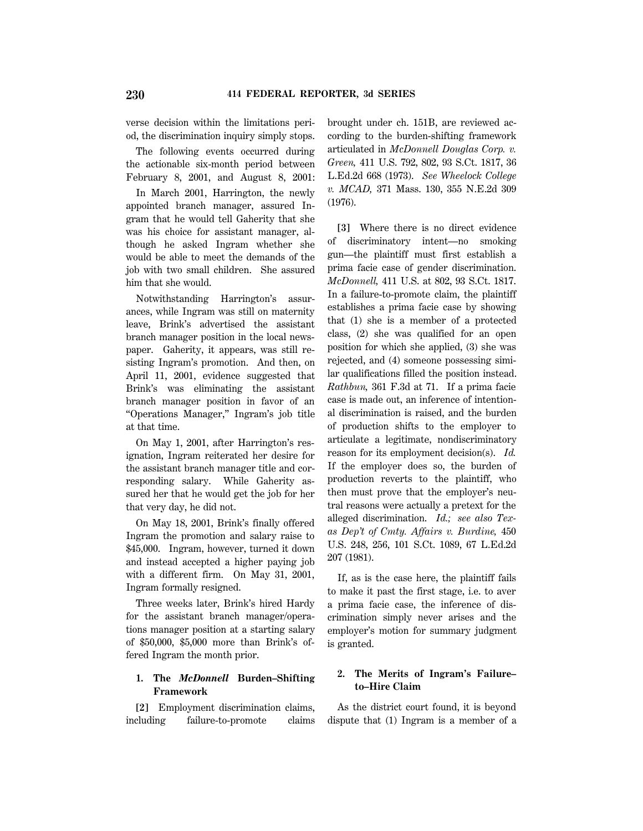verse decision within the limitations period, the discrimination inquiry simply stops.

The following events occurred during the actionable six-month period between February 8, 2001, and August 8, 2001:

In March 2001, Harrington, the newly appointed branch manager, assured Ingram that he would tell Gaherity that she was his choice for assistant manager, although he asked Ingram whether she would be able to meet the demands of the job with two small children. She assured him that she would.

Notwithstanding Harrington's assurances, while Ingram was still on maternity leave, Brink's advertised the assistant branch manager position in the local newspaper. Gaherity, it appears, was still resisting Ingram's promotion. And then, on April 11, 2001, evidence suggested that Brink's was eliminating the assistant branch manager position in favor of an ''Operations Manager,'' Ingram's job title at that time.

On May 1, 2001, after Harrington's resignation, Ingram reiterated her desire for the assistant branch manager title and corresponding salary. While Gaherity assured her that he would get the job for her that very day, he did not.

On May 18, 2001, Brink's finally offered Ingram the promotion and salary raise to \$45,000. Ingram, however, turned it down and instead accepted a higher paying job with a different firm. On May 31, 2001, Ingram formally resigned.

Three weeks later, Brink's hired Hardy for the assistant branch manager/operations manager position at a starting salary of \$50,000, \$5,000 more than Brink's offered Ingram the month prior.

# **1. The** *McDonnell* **Burden–Shifting Framework**

**[2]** Employment discrimination claims, including failure-to-promote claims brought under ch. 151B, are reviewed according to the burden-shifting framework articulated in *McDonnell Douglas Corp. v. Green,* 411 U.S. 792, 802, 93 S.Ct. 1817, 36 L.Ed.2d 668 (1973). *See Wheelock College v. MCAD,* 371 Mass. 130, 355 N.E.2d 309 (1976).

**[3]** Where there is no direct evidence of discriminatory intent—no smoking gun—the plaintiff must first establish a prima facie case of gender discrimination. *McDonnell,* 411 U.S. at 802, 93 S.Ct. 1817. In a failure-to-promote claim, the plaintiff establishes a prima facie case by showing that (1) she is a member of a protected class, (2) she was qualified for an open position for which she applied, (3) she was rejected, and (4) someone possessing similar qualifications filled the position instead. *Rathbun,* 361 F.3d at 71. If a prima facie case is made out, an inference of intentional discrimination is raised, and the burden of production shifts to the employer to articulate a legitimate, nondiscriminatory reason for its employment decision(s). *Id.* If the employer does so, the burden of production reverts to the plaintiff, who then must prove that the employer's neutral reasons were actually a pretext for the alleged discrimination. *Id.; see also Texas Dep't of Cmty. Affairs v. Burdine,* 450 U.S. 248, 256, 101 S.Ct. 1089, 67 L.Ed.2d 207 (1981).

If, as is the case here, the plaintiff fails to make it past the first stage, i.e. to aver a prima facie case, the inference of discrimination simply never arises and the employer's motion for summary judgment is granted.

# **2. The Merits of Ingram's Failure– to–Hire Claim**

As the district court found, it is beyond dispute that (1) Ingram is a member of a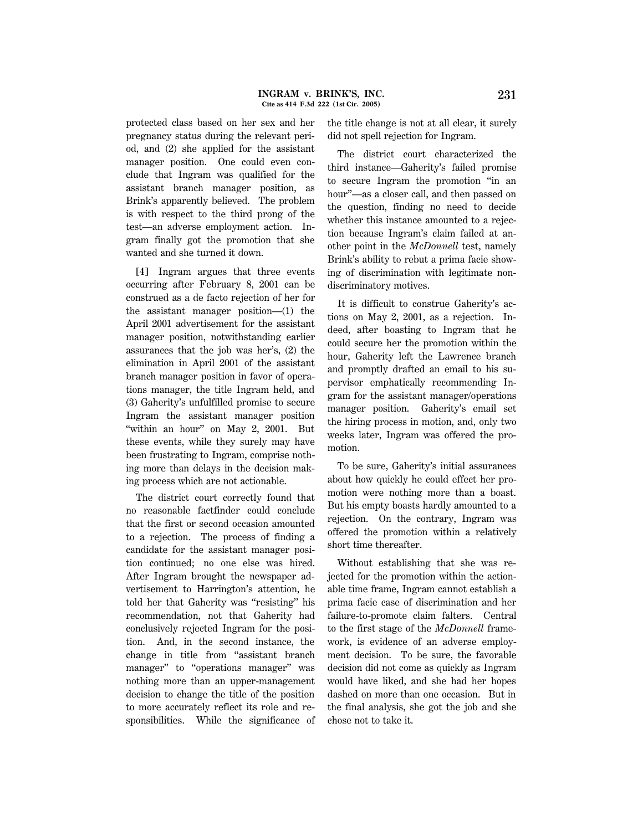protected class based on her sex and her pregnancy status during the relevant period, and (2) she applied for the assistant manager position. One could even conclude that Ingram was qualified for the assistant branch manager position, as Brink's apparently believed. The problem is with respect to the third prong of the test—an adverse employment action. Ingram finally got the promotion that she wanted and she turned it down.

**[4]** Ingram argues that three events occurring after February 8, 2001 can be construed as a de facto rejection of her for the assistant manager position—(1) the April 2001 advertisement for the assistant manager position, notwithstanding earlier assurances that the job was her's, (2) the elimination in April 2001 of the assistant branch manager position in favor of operations manager, the title Ingram held, and (3) Gaherity's unfulfilled promise to secure Ingram the assistant manager position "within an hour" on May 2, 2001. But these events, while they surely may have been frustrating to Ingram, comprise nothing more than delays in the decision making process which are not actionable.

The district court correctly found that no reasonable factfinder could conclude that the first or second occasion amounted to a rejection. The process of finding a candidate for the assistant manager position continued; no one else was hired. After Ingram brought the newspaper advertisement to Harrington's attention, he told her that Gaherity was ''resisting'' his recommendation, not that Gaherity had conclusively rejected Ingram for the position. And, in the second instance, the change in title from ''assistant branch manager'' to ''operations manager'' was nothing more than an upper-management decision to change the title of the position to more accurately reflect its role and responsibilities. While the significance of the title change is not at all clear, it surely did not spell rejection for Ingram.

The district court characterized the third instance—Gaherity's failed promise to secure Ingram the promotion ''in an hour''—as a closer call, and then passed on the question, finding no need to decide whether this instance amounted to a rejection because Ingram's claim failed at another point in the *McDonnell* test, namely Brink's ability to rebut a prima facie showing of discrimination with legitimate nondiscriminatory motives.

It is difficult to construe Gaherity's actions on May 2, 2001, as a rejection. Indeed, after boasting to Ingram that he could secure her the promotion within the hour, Gaherity left the Lawrence branch and promptly drafted an email to his supervisor emphatically recommending Ingram for the assistant manager/operations manager position. Gaherity's email set the hiring process in motion, and, only two weeks later, Ingram was offered the promotion.

To be sure, Gaherity's initial assurances about how quickly he could effect her promotion were nothing more than a boast. But his empty boasts hardly amounted to a rejection. On the contrary, Ingram was offered the promotion within a relatively short time thereafter.

Without establishing that she was rejected for the promotion within the actionable time frame, Ingram cannot establish a prima facie case of discrimination and her failure-to-promote claim falters. Central to the first stage of the *McDonnell* framework, is evidence of an adverse employment decision. To be sure, the favorable decision did not come as quickly as Ingram would have liked, and she had her hopes dashed on more than one occasion. But in the final analysis, she got the job and she chose not to take it.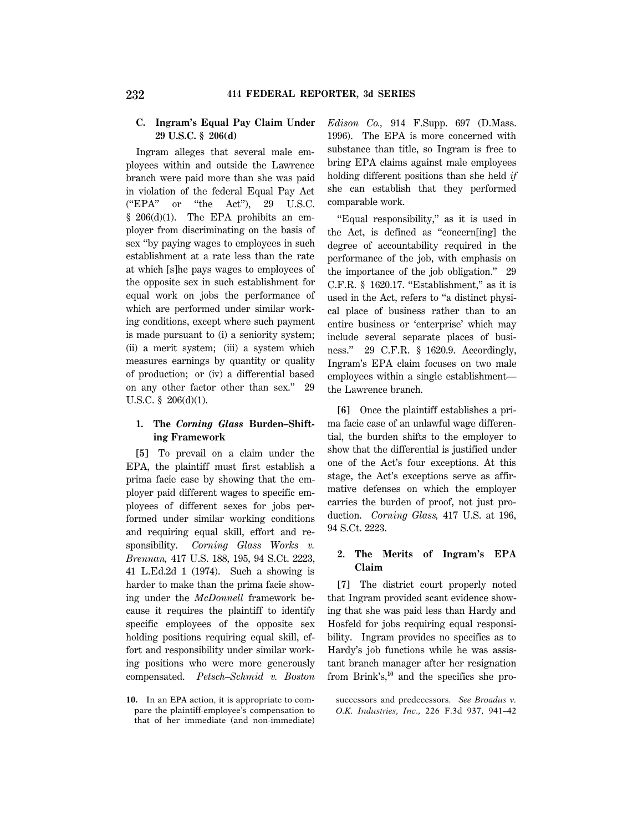## **C. Ingram's Equal Pay Claim Under 29 U.S.C. § 206(d)**

Ingram alleges that several male employees within and outside the Lawrence branch were paid more than she was paid in violation of the federal Equal Pay Act (''EPA'' or ''the Act''), 29 U.S.C. § 206(d)(1). The EPA prohibits an employer from discriminating on the basis of sex ''by paying wages to employees in such establishment at a rate less than the rate at which [s]he pays wages to employees of the opposite sex in such establishment for equal work on jobs the performance of which are performed under similar working conditions, except where such payment is made pursuant to (i) a seniority system; (ii) a merit system; (iii) a system which measures earnings by quantity or quality of production; or (iv) a differential based on any other factor other than sex.'' 29 U.S.C. § 206(d)(1).

# **1. The** *Corning Glass* **Burden–Shifting Framework**

**[5]** To prevail on a claim under the EPA, the plaintiff must first establish a prima facie case by showing that the employer paid different wages to specific employees of different sexes for jobs performed under similar working conditions and requiring equal skill, effort and responsibility. *Corning Glass Works v. Brennan,* 417 U.S. 188, 195, 94 S.Ct. 2223, 41 L.Ed.2d 1 (1974). Such a showing is harder to make than the prima facie showing under the *McDonnell* framework because it requires the plaintiff to identify specific employees of the opposite sex holding positions requiring equal skill, effort and responsibility under similar working positions who were more generously compensated. *Petsch–Schmid v. Boston*

**10.** In an EPA action, it is appropriate to compare the plaintiff-employee's compensation to that of her immediate (and non-immediate) *Edison Co.,* 914 F.Supp. 697 (D.Mass. 1996). The EPA is more concerned with substance than title, so Ingram is free to bring EPA claims against male employees holding different positions than she held *if* she can establish that they performed comparable work.

''Equal responsibility,'' as it is used in the Act, is defined as ''concern[ing] the degree of accountability required in the performance of the job, with emphasis on the importance of the job obligation.'' 29  $C.F.R.$  § 1620.17. "Establishment," as it is used in the Act, refers to ''a distinct physical place of business rather than to an entire business or 'enterprise' which may include several separate places of business.'' 29 C.F.R. § 1620.9. Accordingly, Ingram's EPA claim focuses on two male employees within a single establishment the Lawrence branch.

**[6]** Once the plaintiff establishes a prima facie case of an unlawful wage differential, the burden shifts to the employer to show that the differential is justified under one of the Act's four exceptions. At this stage, the Act's exceptions serve as affirmative defenses on which the employer carries the burden of proof, not just production. *Corning Glass,* 417 U.S. at 196, 94 S.Ct. 2223.

# **2. The Merits of Ingram's EPA Claim**

**[7]** The district court properly noted that Ingram provided scant evidence showing that she was paid less than Hardy and Hosfeld for jobs requiring equal responsibility. Ingram provides no specifics as to Hardy's job functions while he was assistant branch manager after her resignation from Brink's,**10** and the specifics she pro-

successors and predecessors. *See Broadus v. O.K. Industries, Inc.,* 226 F.3d 937, 941–42